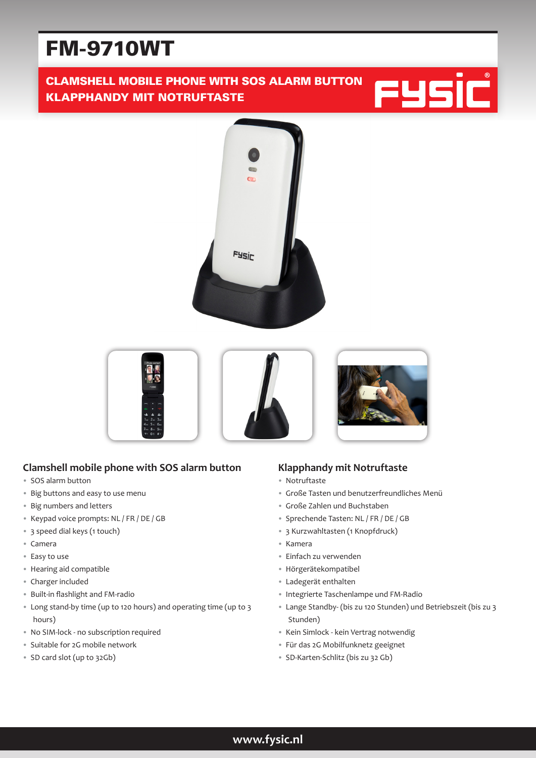# FM-9710WT

# CLAMSHELL MOBILE PHONE WITH SOS ALARM BUTTON KLAPPHANDY MIT NOTRUFTASTE







## **Clamshell mobile phone with SOS alarm button**

- SOS alarm button
- Big buttons and easy to use menu
- Big numbers and letters
- Keypad voice prompts: NL / FR / DE / GB
- 3 speed dial keys (1 touch)
- Camera
- Easy to use
- Hearing aid compatible
- Charger included
- Built-in flashlight and FM-radio
- Long stand-by time (up to 120 hours) and operating time (up to 3 hours)
- No SIM-lock no subscription required
- Suitable for 2G mobile network
- SD card slot (up to 32Gb)

## **Klapphandy mit Notruftaste**

- Notruftaste
- Große Tasten und benutzerfreundliches Menü
- Große Zahlen und Buchstaben
- Sprechende Tasten: NL / FR / DE / GB
- 3 Kurzwahltasten (1 Knopfdruck)
- Kamera
- Einfach zu verwenden
- Hörgerätekompatibel
- Ladegerät enthalten
- Integrierte Taschenlampe und FM-Radio
- Lange Standby- (bis zu 120 Stunden) und Betriebszeit (bis zu 3 Stunden)
- Kein Simlock kein Vertrag notwendig
- Für das 2G Mobilfunknetz geeignet
- SD-Karten-Schlitz (bis zu 32 Gb)

**www.fysic.nl**